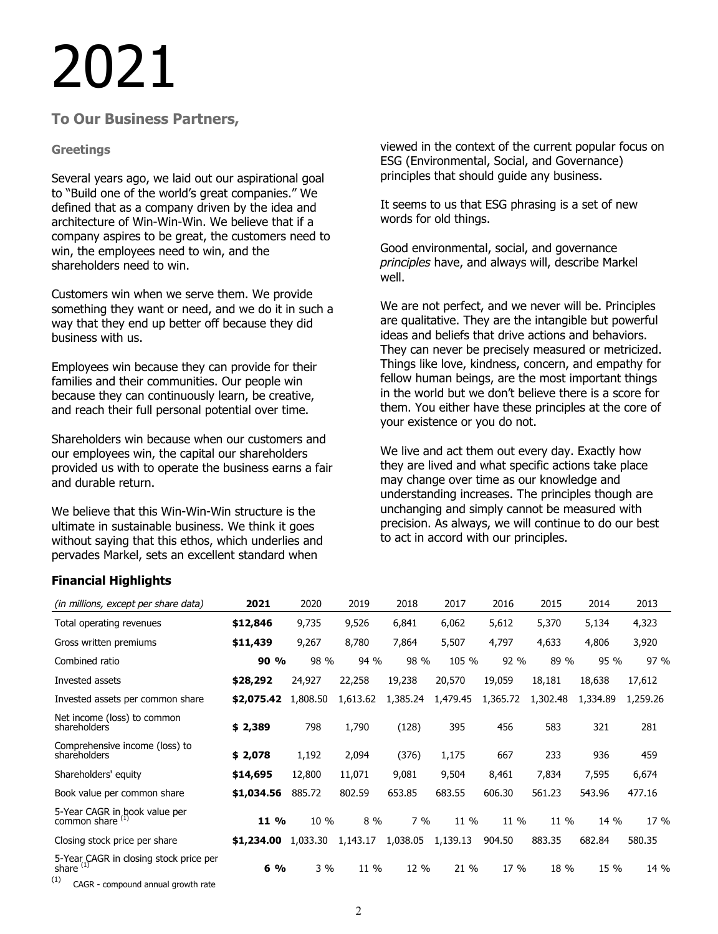# 2021

# **To Our Business Partners,**

## **Greetings**

Several years ago, we laid out our aspirational goal to "Build one of the world's great companies." We defined that as a company driven by the idea and architecture of Win-Win-Win. We believe that if a company aspires to be great, the customers need to win, the employees need to win, and the shareholders need to win.

Customers win when we serve them. We provide something they want or need, and we do it in such a way that they end up better off because they did business with us.

Employees win because they can provide for their families and their communities. Our people win because they can continuously learn, be creative, and reach their full personal potential over time.

Shareholders win because when our customers and our employees win, the capital our shareholders provided us with to operate the business earns a fair and durable return.

We believe that this Win-Win-Win structure is the ultimate in sustainable business. We think it goes without saying that this ethos, which underlies and pervades Markel, sets an excellent standard when

viewed in the context of the current popular focus on ESG (Environmental, Social, and Governance) principles that should guide any business.

It seems to us that ESG phrasing is a set of new words for old things.

Good environmental, social, and governance *principles* have, and always will, describe Markel well.

We are not perfect, and we never will be. Principles are qualitative. They are the intangible but powerful ideas and beliefs that drive actions and behaviors. They can never be precisely measured or metricized. Things like love, kindness, concern, and empathy for fellow human beings, are the most important things in the world but we don't believe there is a score for them. You either have these principles at the core of your existence or you do not.

We live and act them out every day. Exactly how they are lived and what specific actions take place may change over time as our knowledge and understanding increases. The principles though are unchanging and simply cannot be measured with precision. As always, we will continue to do our best to act in accord with our principles.

# **Financial Highlights**

| (in millions, except per share data)                               | 2021       | 2020     | 2019     | 2018     | 2017     | 2016     | 2015     | 2014     | 2013     |
|--------------------------------------------------------------------|------------|----------|----------|----------|----------|----------|----------|----------|----------|
| Total operating revenues                                           | \$12,846   | 9,735    | 9,526    | 6,841    | 6,062    | 5,612    | 5,370    | 5,134    | 4,323    |
| Gross written premiums                                             | \$11,439   | 9,267    | 8,780    | 7,864    | 5,507    | 4,797    | 4,633    | 4,806    | 3,920    |
| Combined ratio                                                     | 90%        | 98 %     | 94 %     | 98 %     | 105 %    | 92 %     | 89 %     | 95 %     | 97 %     |
| Invested assets                                                    | \$28,292   | 24,927   | 22,258   | 19,238   | 20,570   | 19,059   | 18,181   | 18,638   | 17,612   |
| Invested assets per common share                                   | \$2,075.42 | 1,808.50 | 1,613.62 | 1,385.24 | 1,479.45 | 1,365.72 | 1,302.48 | 1,334.89 | 1,259.26 |
| Net income (loss) to common<br>shareholders                        | \$2,389    | 798      | 1,790    | (128)    | 395      | 456      | 583      | 321      | 281      |
| Comprehensive income (loss) to<br>shareholders                     | \$2,078    | 1,192    | 2,094    | (376)    | 1,175    | 667      | 233      | 936      | 459      |
| Shareholders' equity                                               | \$14,695   | 12,800   | 11,071   | 9,081    | 9,504    | 8,461    | 7,834    | 7,595    | 6,674    |
| Book value per common share                                        | \$1,034.56 | 885.72   | 802.59   | 653.85   | 683.55   | 606.30   | 561.23   | 543.96   | 477.16   |
| 5-Year CAGR in book value per<br>common share <sup>(1)</sup>       | 11 %       | 10 %     | $8\%$    | $7\%$    | 11 %     | 11 %     | 11 %     | 14 %     | 17 %     |
| Closing stock price per share                                      | \$1,234.00 | 1,033.30 | 1,143.17 | 1,038.05 | 1,139.13 | 904.50   | 883.35   | 682.84   | 580.35   |
| 5-Year CAGR in closing stock price per share <sup>(1)</sup><br>(1) | $6\%$      | $3\%$    | 11 %     | 12 %     | 21 %     | 17 %     | 18 %     | 15 %     | 14 %     |
| CAGR - compound annual growth rate                                 |            |          |          |          |          |          |          |          |          |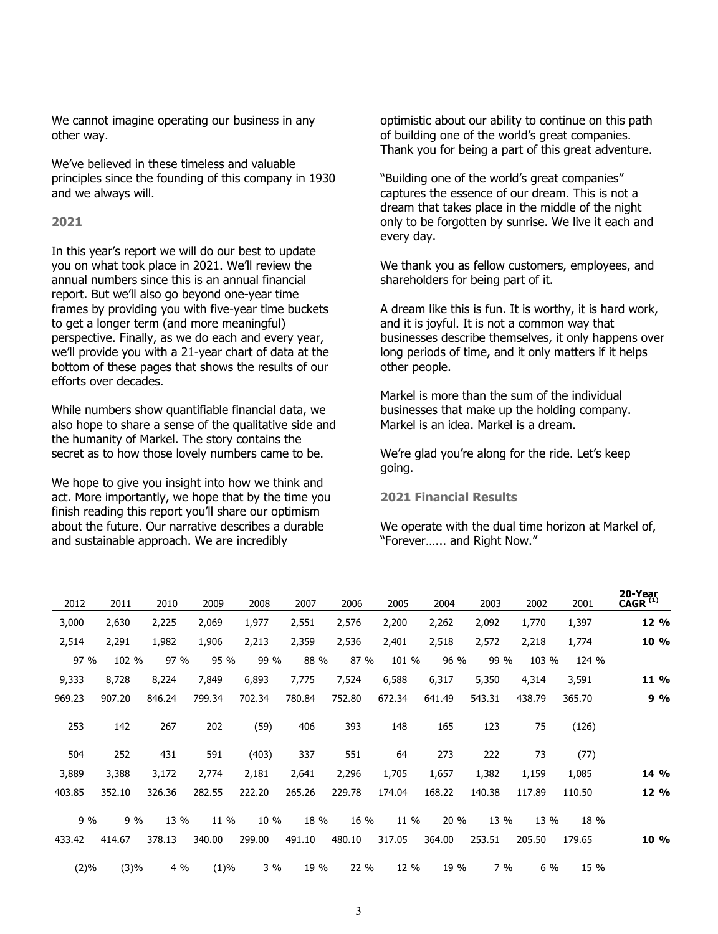We cannot imagine operating our business in any other way.

We've believed in these timeless and valuable principles since the founding of this company in 1930 and we always will.

### **2021**

In this year's report we will do our best to update you on what took place in 2021. We'll review the annual numbers since this is an annual financial report. But we'll also go beyond one-year time frames by providing you with five-year time buckets to get a longer term (and more meaningful) perspective. Finally, as we do each and every year, we'll provide you with a 21-year chart of data at the bottom of these pages that shows the results of our efforts over decades.

While numbers show quantifiable financial data, we also hope to share a sense of the qualitative side and the humanity of Markel. The story contains the secret as to how those lovely numbers came to be.

We hope to give you insight into how we think and act. More importantly, we hope that by the time you finish reading this report you'll share our optimism about the future. Our narrative describes a durable and sustainable approach. We are incredibly

optimistic about our ability to continue on this path of building one of the world's great companies. Thank you for being a part of this great adventure.

"Building one of the world's great companies" captures the essence of our dream. This is not a dream that takes place in the middle of the night only to be forgotten by sunrise. We live it each and every day.

We thank you as fellow customers, employees, and shareholders for being part of it.

A dream like this is fun. It is worthy, it is hard work, and it is joyful. It is not a common way that businesses describe themselves, it only happens over long periods of time, and it only matters if it helps other people.

Markel is more than the sum of the individual businesses that make up the holding company. Markel is an idea. Markel is a dream.

We're glad you're along for the ride. Let's keep going.

**2021 Financial Results**

We operate with the dual time horizon at Markel of, "Forever…... and Right Now."

| 20-Year<br>$CAGR^{(1)}$ | 2001   | 2002   | 2003   | 2004   | 2005   | 2006   | 2007   | 2008   | 2009   | 2010   | 2011   | 2012   |
|-------------------------|--------|--------|--------|--------|--------|--------|--------|--------|--------|--------|--------|--------|
| 12 %                    | 1,397  | 1,770  | 2,092  | 2,262  | 2,200  | 2,576  | 2,551  | 1,977  | 2,069  | 2,225  | 2,630  | 3,000  |
| 10 %                    | 1,774  | 2,218  | 2,572  | 2,518  | 2,401  | 2,536  | 2,359  | 2,213  | 1,906  | 1,982  | 2,291  | 2,514  |
|                         | 124 %  | 103 %  | 99 %   | 96 %   | 101 %  | 87 %   | 88 %   | 99 %   | 95 %   | 97 %   | 102 %  | 97 %   |
| 11 %                    | 3,591  | 4,314  | 5,350  | 6,317  | 6,588  | 7,524  | 7,775  | 6,893  | 7,849  | 8,224  | 8,728  | 9,333  |
| 9%                      | 365.70 | 438.79 | 543.31 | 641.49 | 672.34 | 752.80 | 780.84 | 702.34 | 799.34 | 846.24 | 907.20 | 969.23 |
|                         | (126)  | 75     | 123    | 165    | 148    | 393    | 406    | (59)   | 202    | 267    | 142    | 253    |
|                         | (77)   | 73     | 222    | 273    | 64     | 551    | 337    | (403)  | 591    | 431    | 252    | 504    |
| 14 %                    | 1,085  | 1,159  | 1,382  | 1,657  | 1,705  | 2,296  | 2,641  | 2,181  | 2,774  | 3,172  | 3,388  | 3,889  |
| 12 %                    | 110.50 | 117.89 | 140.38 | 168.22 | 174.04 | 229.78 | 265.26 | 222.20 | 282.55 | 326.36 | 352.10 | 403.85 |
|                         | 18 %   | 13 %   | 13 %   | 20 %   | 11 %   | 16 %   | 18 %   | 10 %   | 11 %   | 13 %   | 9%     | 9%     |
| 10 %                    | 179.65 | 205.50 | 253.51 | 364.00 | 317.05 | 480.10 | 491.10 | 299.00 | 340.00 | 378.13 | 414.67 | 433.42 |
|                         | 15 %   | 6 %    | 7%     | 19 %   | 12 %   | 22 %   | 19 %   | 3 %    | (1)%   | $4\%$  | (3)%   | (2)%   |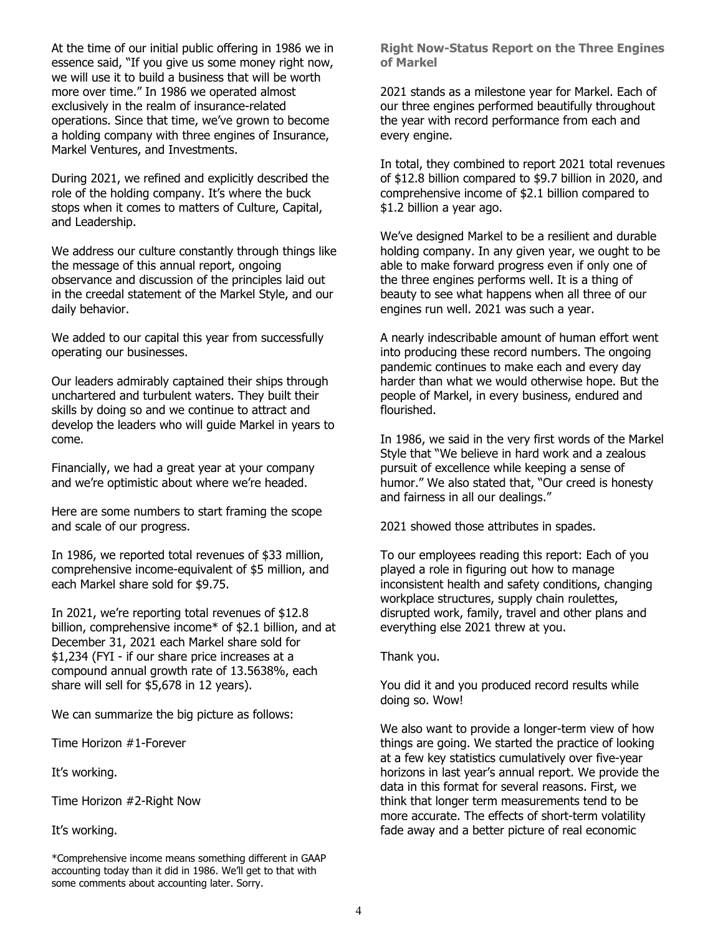At the time of our initial public offering in 1986 we in essence said, "If you give us some money right now, we will use it to build a business that will be worth more over time." In 1986 we operated almost exclusively in the realm of insurance-related operations. Since that time, we've grown to become a holding company with three engines of Insurance, Markel Ventures, and Investments.

During 2021, we refined and explicitly described the role of the holding company. It's where the buck stops when it comes to matters of Culture, Capital, and Leadership.

We address our culture constantly through things like the message of this annual report, ongoing observance and discussion of the principles laid out in the creedal statement of the Markel Style, and our daily behavior.

We added to our capital this year from successfully operating our businesses.

Our leaders admirably captained their ships through unchartered and turbulent waters. They built their skills by doing so and we continue to attract and develop the leaders who will guide Markel in years to come.

Financially, we had a great year at your company and we're optimistic about where we're headed.

Here are some numbers to start framing the scope and scale of our progress.

In 1986, we reported total revenues of \$33 million, comprehensive income-equivalent of \$5 million, and each Markel share sold for \$9.75.

In 2021, we're reporting total revenues of \$12.8 billion, comprehensive income\* of \$2.1 billion, and at December 31, 2021 each Markel share sold for \$1,234 (FYI - if our share price increases at a compound annual growth rate of 13.5638%, each share will sell for \$5,678 in 12 years).

We can summarize the big picture as follows:

Time Horizon #1-Forever

It's working.

Time Horizon #2-Right Now

It's working.

\*Comprehensive income means something different in GAAP accounting today than it did in 1986. We'll get to that with some comments about accounting later. Sorry.

**Right Now-Status Report on the Three Engines of Markel**

2021 stands as a milestone year for Markel. Each of our three engines performed beautifully throughout the year with record performance from each and every engine.

In total, they combined to report 2021 total revenues of \$12.8 billion compared to \$9.7 billion in 2020, and comprehensive income of \$2.1 billion compared to \$1.2 billion a year ago.

We've designed Markel to be a resilient and durable holding company. In any given year, we ought to be able to make forward progress even if only one of the three engines performs well. It is a thing of beauty to see what happens when all three of our engines run well. 2021 was such a year.

A nearly indescribable amount of human effort went into producing these record numbers. The ongoing pandemic continues to make each and every day harder than what we would otherwise hope. But the people of Markel, in every business, endured and flourished.

In 1986, we said in the very first words of the Markel Style that "We believe in hard work and a zealous pursuit of excellence while keeping a sense of humor." We also stated that, "Our creed is honesty and fairness in all our dealings."

2021 showed those attributes in spades.

To our employees reading this report: Each of you played a role in figuring out how to manage inconsistent health and safety conditions, changing workplace structures, supply chain roulettes, disrupted work, family, travel and other plans and everything else 2021 threw at you.

Thank you.

You did it and you produced record results while doing so. Wow!

We also want to provide a longer-term view of how things are going. We started the practice of looking at a few key statistics cumulatively over five-year horizons in last year's annual report. We provide the data in this format for several reasons. First, we think that longer term measurements tend to be more accurate. The effects of short-term volatility fade away and a better picture of real economic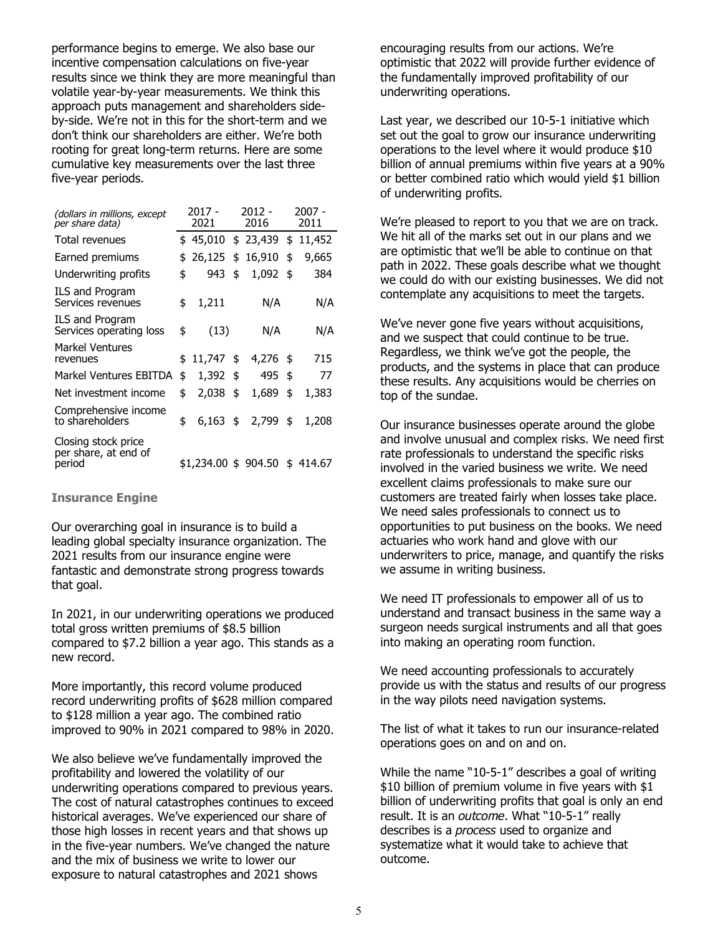performance begins to emerge. We also base our incentive compensation calculations on five-year results since we think they are more meaningful than volatile year-by-year measurements. We think this approach puts management and shareholders sideby-side. We're not in this for the short-term and we don't think our shareholders are either. We're both rooting for great long-term returns. Here are some cumulative key measurements over the last three five-year periods.

| (dollars in millions, except<br>per share data)       | 2017 -<br>2021 |                      |    | $2012 -$<br>2016 | 2007 -<br>2011 |          |  |
|-------------------------------------------------------|----------------|----------------------|----|------------------|----------------|----------|--|
| Total revenues                                        |                | \$45,010             |    | \$23,439         | \$             | 11,452   |  |
| Earned premiums                                       | \$             | 26,125               | \$ | 16,910           | \$             | 9,665    |  |
| Underwriting profits                                  | \$             | 943                  | \$ | 1,092            | \$             | 384      |  |
| <b>ILS and Program</b><br>Services revenues           | \$             | 1,211                |    | N/A              |                | N/A      |  |
| <b>ILS and Program</b><br>Services operating loss     | \$             | (13)                 |    | N/A              |                | N/A      |  |
| Markel Ventures<br>revenues                           | \$             | $11,747$ \$          |    | 4,276            | -\$            | 715      |  |
| Markel Ventures EBITDA                                | \$             | $1,392$ \$           |    | 495              | \$             | 77       |  |
| Net investment income                                 | \$             | 2,038                | \$ | 1,689            | \$             | 1,383    |  |
| Comprehensive income<br>to shareholders               | \$             | $6,163$ \$           |    | 2,799            | \$             | 1,208    |  |
| Closing stock price<br>per share, at end of<br>period |                | \$1,234.00 \$ 904.50 |    |                  |                | \$414.67 |  |

### **Insurance Engine**

Our overarching goal in insurance is to build a leading global specialty insurance organization. The 2021 results from our insurance engine were fantastic and demonstrate strong progress towards that goal.

In 2021, in our underwriting operations we produced total gross written premiums of \$8.5 billion compared to \$7.2 billion a year ago. This stands as a new record.

More importantly, this record volume produced record underwriting profits of \$628 million compared to \$128 million a year ago. The combined ratio improved to 90% in 2021 compared to 98% in 2020.

We also believe we've fundamentally improved the profitability and lowered the volatility of our underwriting operations compared to previous years. The cost of natural catastrophes continues to exceed historical averages. We've experienced our share of those high losses in recent years and that shows up in the five-year numbers. We've changed the nature and the mix of business we write to lower our exposure to natural catastrophes and 2021 shows

encouraging results from our actions. We're optimistic that 2022 will provide further evidence of the fundamentally improved profitability of our underwriting operations.

Last year, we described our 10-5-1 initiative which set out the goal to grow our insurance underwriting operations to the level where it would produce \$10 billion of annual premiums within five years at a 90% or better combined ratio which would yield \$1 billion of underwriting profits.

We're pleased to report to you that we are on track. We hit all of the marks set out in our plans and we are optimistic that we'll be able to continue on that path in 2022. These goals describe what we thought we could do with our existing businesses. We did not contemplate any acquisitions to meet the targets.

We've never gone five years without acquisitions, and we suspect that could continue to be true. Regardless, we think we've got the people, the products, and the systems in place that can produce these results. Any acquisitions would be cherries on top of the sundae.

Our insurance businesses operate around the globe and involve unusual and complex risks. We need first rate professionals to understand the specific risks involved in the varied business we write. We need excellent claims professionals to make sure our customers are treated fairly when losses take place. We need sales professionals to connect us to opportunities to put business on the books. We need actuaries who work hand and glove with our underwriters to price, manage, and quantify the risks we assume in writing business.

We need IT professionals to empower all of us to understand and transact business in the same way a surgeon needs surgical instruments and all that goes into making an operating room function.

We need accounting professionals to accurately provide us with the status and results of our progress in the way pilots need navigation systems.

The list of what it takes to run our insurance-related operations goes on and on and on.

While the name "10-5-1" describes a goal of writing \$10 billion of premium volume in five years with \$1 billion of underwriting profits that goal is only an end result. It is an *outcome*. What "10-5-1" really describes is a *process* used to organize and systematize what it would take to achieve that outcome.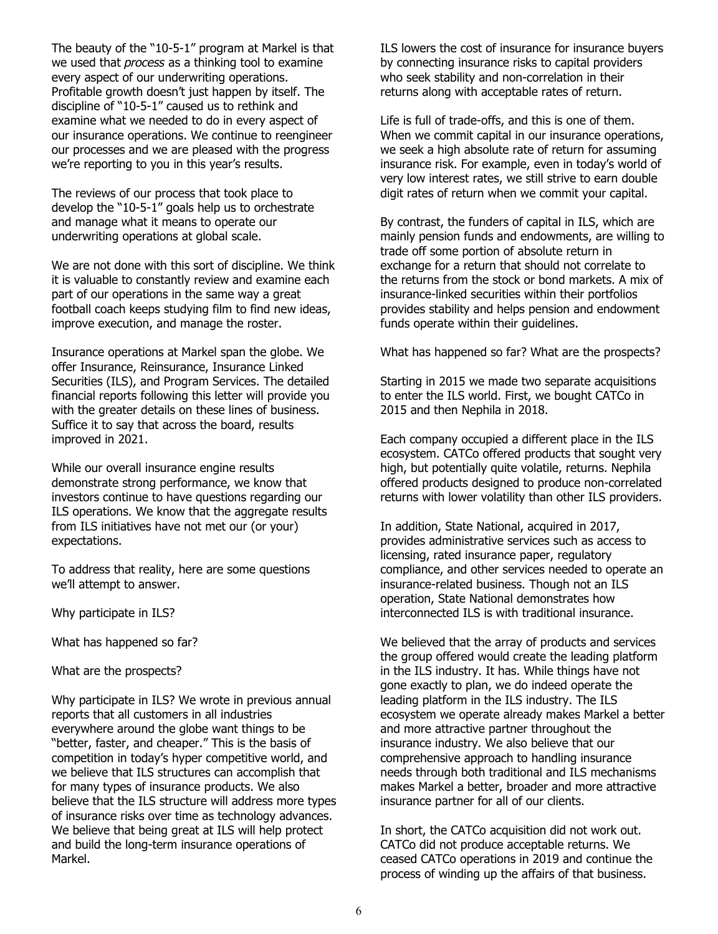The beauty of the "10-5-1" program at Markel is that we used that *process* as a thinking tool to examine every aspect of our underwriting operations. Profitable growth doesn't just happen by itself. The discipline of "10-5-1" caused us to rethink and examine what we needed to do in every aspect of our insurance operations. We continue to reengineer our processes and we are pleased with the progress we're reporting to you in this year's results.

The reviews of our process that took place to develop the "10-5-1" goals help us to orchestrate and manage what it means to operate our underwriting operations at global scale.

We are not done with this sort of discipline. We think it is valuable to constantly review and examine each part of our operations in the same way a great football coach keeps studying film to find new ideas, improve execution, and manage the roster.

Insurance operations at Markel span the globe. We offer Insurance, Reinsurance, Insurance Linked Securities (ILS), and Program Services. The detailed financial reports following this letter will provide you with the greater details on these lines of business. Suffice it to say that across the board, results improved in 2021.

While our overall insurance engine results demonstrate strong performance, we know that investors continue to have questions regarding our ILS operations. We know that the aggregate results from ILS initiatives have not met our (or your) expectations.

To address that reality, here are some questions we'll attempt to answer.

Why participate in ILS?

What has happened so far?

What are the prospects?

Why participate in ILS? We wrote in previous annual reports that all customers in all industries everywhere around the globe want things to be "better, faster, and cheaper." This is the basis of competition in today's hyper competitive world, and we believe that ILS structures can accomplish that for many types of insurance products. We also believe that the ILS structure will address more types of insurance risks over time as technology advances. We believe that being great at ILS will help protect and build the long-term insurance operations of Markel.

ILS lowers the cost of insurance for insurance buyers by connecting insurance risks to capital providers who seek stability and non-correlation in their returns along with acceptable rates of return.

Life is full of trade-offs, and this is one of them. When we commit capital in our insurance operations, we seek a high absolute rate of return for assuming insurance risk. For example, even in today's world of very low interest rates, we still strive to earn double digit rates of return when we commit your capital.

By contrast, the funders of capital in ILS, which are mainly pension funds and endowments, are willing to trade off some portion of absolute return in exchange for a return that should not correlate to the returns from the stock or bond markets. A mix of insurance-linked securities within their portfolios provides stability and helps pension and endowment funds operate within their guidelines.

What has happened so far? What are the prospects?

Starting in 2015 we made two separate acquisitions to enter the ILS world. First, we bought CATCo in 2015 and then Nephila in 2018.

Each company occupied a different place in the ILS ecosystem. CATCo offered products that sought very high, but potentially quite volatile, returns. Nephila offered products designed to produce non-correlated returns with lower volatility than other ILS providers.

In addition, State National, acquired in 2017, provides administrative services such as access to licensing, rated insurance paper, regulatory compliance, and other services needed to operate an insurance-related business. Though not an ILS operation, State National demonstrates how interconnected ILS is with traditional insurance.

We believed that the array of products and services the group offered would create the leading platform in the ILS industry. It has. While things have not gone exactly to plan, we do indeed operate the leading platform in the ILS industry. The ILS ecosystem we operate already makes Markel a better and more attractive partner throughout the insurance industry. We also believe that our comprehensive approach to handling insurance needs through both traditional and ILS mechanisms makes Markel a better, broader and more attractive insurance partner for all of our clients.

In short, the CATCo acquisition did not work out. CATCo did not produce acceptable returns. We ceased CATCo operations in 2019 and continue the process of winding up the affairs of that business.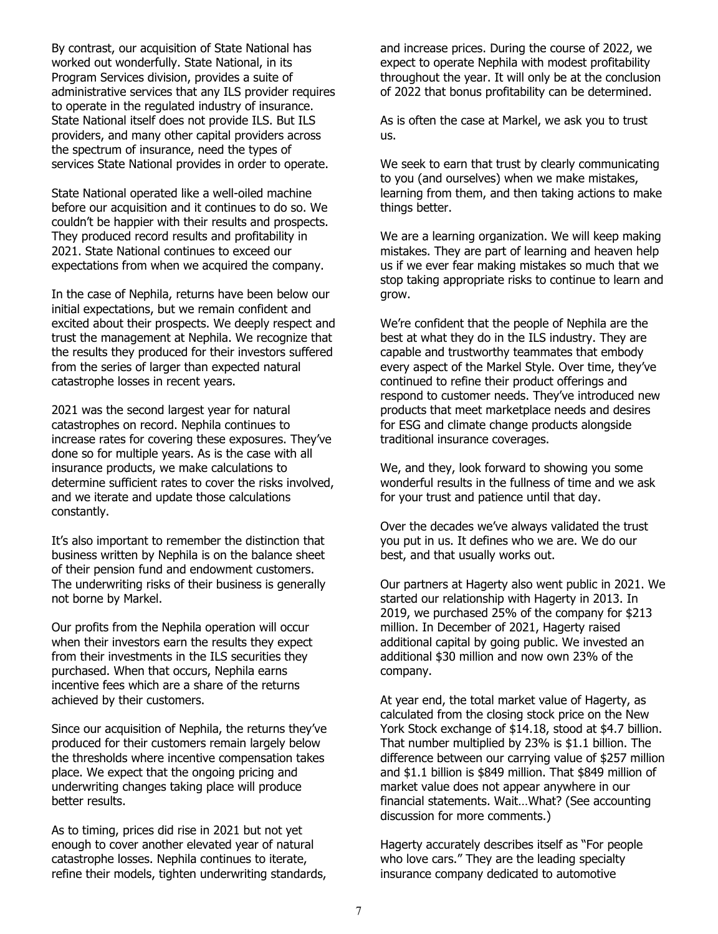By contrast, our acquisition of State National has worked out wonderfully. State National, in its Program Services division, provides a suite of administrative services that any ILS provider requires to operate in the regulated industry of insurance. State National itself does not provide ILS. But ILS providers, and many other capital providers across the spectrum of insurance, need the types of services State National provides in order to operate.

State National operated like a well-oiled machine before our acquisition and it continues to do so. We couldn't be happier with their results and prospects. They produced record results and profitability in 2021. State National continues to exceed our expectations from when we acquired the company.

In the case of Nephila, returns have been below our initial expectations, but we remain confident and excited about their prospects. We deeply respect and trust the management at Nephila. We recognize that the results they produced for their investors suffered from the series of larger than expected natural catastrophe losses in recent years.

2021 was the second largest year for natural catastrophes on record. Nephila continues to increase rates for covering these exposures. They've done so for multiple years. As is the case with all insurance products, we make calculations to determine sufficient rates to cover the risks involved, and we iterate and update those calculations constantly.

It's also important to remember the distinction that business written by Nephila is on the balance sheet of their pension fund and endowment customers. The underwriting risks of their business is generally not borne by Markel.

Our profits from the Nephila operation will occur when their investors earn the results they expect from their investments in the ILS securities they purchased. When that occurs, Nephila earns incentive fees which are a share of the returns achieved by their customers.

Since our acquisition of Nephila, the returns they've produced for their customers remain largely below the thresholds where incentive compensation takes place. We expect that the ongoing pricing and underwriting changes taking place will produce better results.

As to timing, prices did rise in 2021 but not yet enough to cover another elevated year of natural catastrophe losses. Nephila continues to iterate, refine their models, tighten underwriting standards, and increase prices. During the course of 2022, we expect to operate Nephila with modest profitability throughout the year. It will only be at the conclusion of 2022 that bonus profitability can be determined.

As is often the case at Markel, we ask you to trust us.

We seek to earn that trust by clearly communicating to you (and ourselves) when we make mistakes, learning from them, and then taking actions to make things better.

We are a learning organization. We will keep making mistakes. They are part of learning and heaven help us if we ever fear making mistakes so much that we stop taking appropriate risks to continue to learn and grow.

We're confident that the people of Nephila are the best at what they do in the ILS industry. They are capable and trustworthy teammates that embody every aspect of the Markel Style. Over time, they've continued to refine their product offerings and respond to customer needs. They've introduced new products that meet marketplace needs and desires for ESG and climate change products alongside traditional insurance coverages.

We, and they, look forward to showing you some wonderful results in the fullness of time and we ask for your trust and patience until that day.

Over the decades we've always validated the trust you put in us. It defines who we are. We do our best, and that usually works out.

Our partners at Hagerty also went public in 2021. We started our relationship with Hagerty in 2013. In 2019, we purchased 25% of the company for \$213 million. In December of 2021, Hagerty raised additional capital by going public. We invested an additional \$30 million and now own 23% of the company.

At year end, the total market value of Hagerty, as calculated from the closing stock price on the New York Stock exchange of \$14.18, stood at \$4.7 billion. That number multiplied by 23% is \$1.1 billion. The difference between our carrying value of \$257 million and \$1.1 billion is \$849 million. That \$849 million of market value does not appear anywhere in our financial statements. Wait…What? (See accounting discussion for more comments.)

Hagerty accurately describes itself as "For people who love cars." They are the leading specialty insurance company dedicated to automotive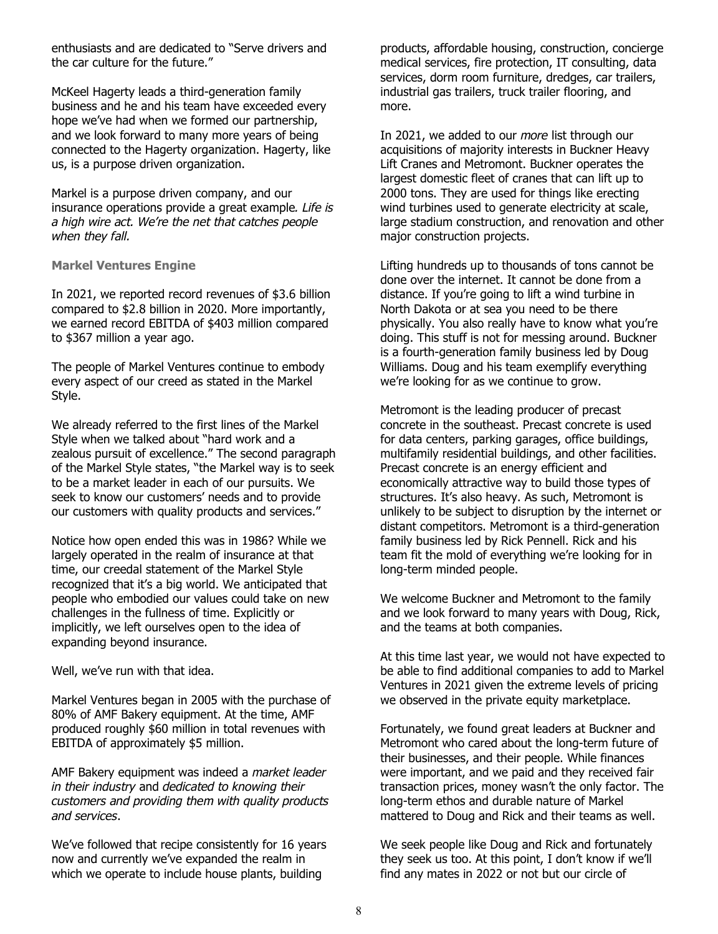enthusiasts and are dedicated to "Serve drivers and the car culture for the future."

McKeel Hagerty leads a third-generation family business and he and his team have exceeded every hope we've had when we formed our partnership, and we look forward to many more years of being connected to the Hagerty organization. Hagerty, like us, is a purpose driven organization.

Markel is a purpose driven company, and our insurance operations provide a great example*. Life is a high wire act. We're the net that catches people when they fall.*

**Markel Ventures Engine** 

In 2021, we reported record revenues of \$3.6 billion compared to \$2.8 billion in 2020. More importantly, we earned record EBITDA of \$403 million compared to \$367 million a year ago.

The people of Markel Ventures continue to embody every aspect of our creed as stated in the Markel Style.

We already referred to the first lines of the Markel Style when we talked about "hard work and a zealous pursuit of excellence." The second paragraph of the Markel Style states, "the Markel way is to seek to be a market leader in each of our pursuits. We seek to know our customers' needs and to provide our customers with quality products and services."

Notice how open ended this was in 1986? While we largely operated in the realm of insurance at that time, our creedal statement of the Markel Style recognized that it's a big world. We anticipated that people who embodied our values could take on new challenges in the fullness of time. Explicitly or implicitly, we left ourselves open to the idea of expanding beyond insurance.

Well, we've run with that idea.

Markel Ventures began in 2005 with the purchase of 80% of AMF Bakery equipment. At the time, AMF produced roughly \$60 million in total revenues with EBITDA of approximately \$5 million.

AMF Bakery equipment was indeed a *market leader in their industry* and *dedicated to knowing their customers and providing them with quality products and services*.

We've followed that recipe consistently for 16 years now and currently we've expanded the realm in which we operate to include house plants, building

products, affordable housing, construction, concierge medical services, fire protection, IT consulting, data services, dorm room furniture, dredges, car trailers, industrial gas trailers, truck trailer flooring, and more.

In 2021, we added to our *more* list through our acquisitions of majority interests in Buckner Heavy Lift Cranes and Metromont. Buckner operates the largest domestic fleet of cranes that can lift up to 2000 tons. They are used for things like erecting wind turbines used to generate electricity at scale, large stadium construction, and renovation and other major construction projects.

Lifting hundreds up to thousands of tons cannot be done over the internet. It cannot be done from a distance. If you're going to lift a wind turbine in North Dakota or at sea you need to be there physically. You also really have to know what you're doing. This stuff is not for messing around. Buckner is a fourth-generation family business led by Doug Williams. Doug and his team exemplify everything we're looking for as we continue to grow.

Metromont is the leading producer of precast concrete in the southeast. Precast concrete is used for data centers, parking garages, office buildings, multifamily residential buildings, and other facilities. Precast concrete is an energy efficient and economically attractive way to build those types of structures. It's also heavy. As such, Metromont is unlikely to be subject to disruption by the internet or distant competitors. Metromont is a third-generation family business led by Rick Pennell. Rick and his team fit the mold of everything we're looking for in long-term minded people.

We welcome Buckner and Metromont to the family and we look forward to many years with Doug, Rick, and the teams at both companies.

At this time last year, we would not have expected to be able to find additional companies to add to Markel Ventures in 2021 given the extreme levels of pricing we observed in the private equity marketplace.

Fortunately, we found great leaders at Buckner and Metromont who cared about the long-term future of their businesses, and their people. While finances were important, and we paid and they received fair transaction prices, money wasn't the only factor. The long-term ethos and durable nature of Markel mattered to Doug and Rick and their teams as well.

We seek people like Doug and Rick and fortunately they seek us too. At this point, I don't know if we'll find any mates in 2022 or not but our circle of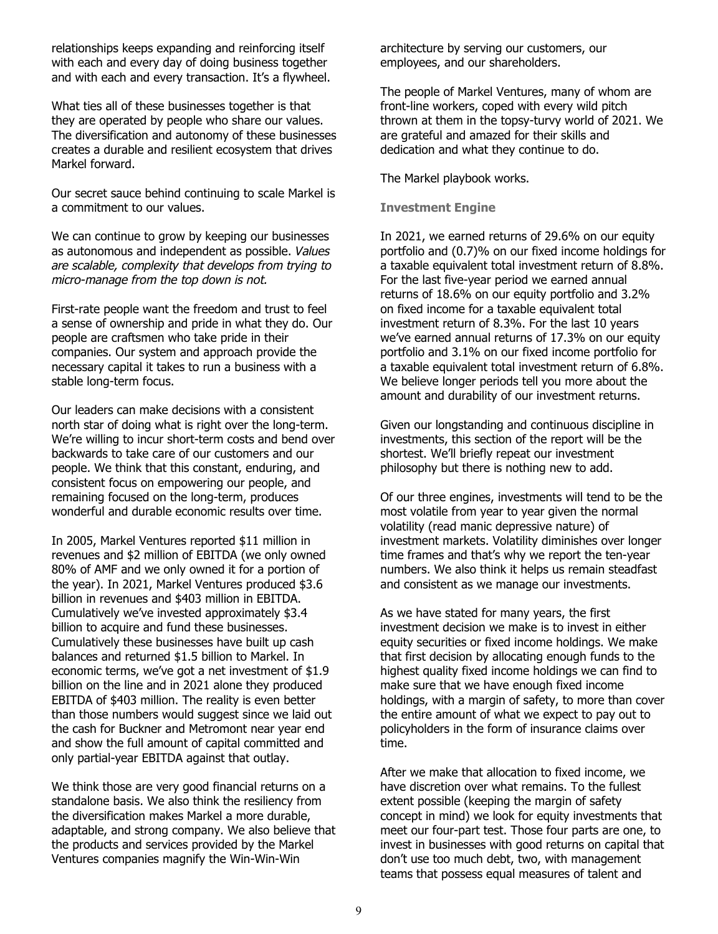relationships keeps expanding and reinforcing itself with each and every day of doing business together and with each and every transaction. It's a flywheel.

What ties all of these businesses together is that they are operated by people who share our values. The diversification and autonomy of these businesses creates a durable and resilient ecosystem that drives Markel forward.

Our secret sauce behind continuing to scale Markel is a commitment to our values.

We can continue to grow by keeping our businesses as autonomous and independent as possible. *Values are scalable, complexity that develops from trying to micro-manage from the top down is not.*

First-rate people want the freedom and trust to feel a sense of ownership and pride in what they do. Our people are craftsmen who take pride in their companies. Our system and approach provide the necessary capital it takes to run a business with a stable long-term focus.

Our leaders can make decisions with a consistent north star of doing what is right over the long-term. We're willing to incur short-term costs and bend over backwards to take care of our customers and our people. We think that this constant, enduring, and consistent focus on empowering our people, and remaining focused on the long-term, produces wonderful and durable economic results over time.

In 2005, Markel Ventures reported \$11 million in revenues and \$2 million of EBITDA (we only owned 80% of AMF and we only owned it for a portion of the year). In 2021, Markel Ventures produced \$3.6 billion in revenues and \$403 million in EBITDA. Cumulatively we've invested approximately \$3.4 billion to acquire and fund these businesses. Cumulatively these businesses have built up cash balances and returned \$1.5 billion to Markel. In economic terms, we've got a net investment of \$1.9 billion on the line and in 2021 alone they produced EBITDA of \$403 million. The reality is even better than those numbers would suggest since we laid out the cash for Buckner and Metromont near year end and show the full amount of capital committed and only partial-year EBITDA against that outlay.

We think those are very good financial returns on a standalone basis. We also think the resiliency from the diversification makes Markel a more durable, adaptable, and strong company. We also believe that the products and services provided by the Markel Ventures companies magnify the Win-Win-Win

architecture by serving our customers, our employees, and our shareholders.

The people of Markel Ventures, many of whom are front-line workers, coped with every wild pitch thrown at them in the topsy-turvy world of 2021. We are grateful and amazed for their skills and dedication and what they continue to do.

The Markel playbook works.

**Investment Engine**

In 2021, we earned returns of 29.6% on our equity portfolio and (0.7)% on our fixed income holdings for a taxable equivalent total investment return of 8.8%. For the last five-year period we earned annual returns of 18.6% on our equity portfolio and 3.2% on fixed income for a taxable equivalent total investment return of 8.3%. For the last 10 years we've earned annual returns of 17.3% on our equity portfolio and 3.1% on our fixed income portfolio for a taxable equivalent total investment return of 6.8%. We believe longer periods tell you more about the amount and durability of our investment returns.

Given our longstanding and continuous discipline in investments, this section of the report will be the shortest. We'll briefly repeat our investment philosophy but there is nothing new to add.

Of our three engines, investments will tend to be the most volatile from year to year given the normal volatility (read manic depressive nature) of investment markets. Volatility diminishes over longer time frames and that's why we report the ten-year numbers. We also think it helps us remain steadfast and consistent as we manage our investments.

As we have stated for many years, the first investment decision we make is to invest in either equity securities or fixed income holdings. We make that first decision by allocating enough funds to the highest quality fixed income holdings we can find to make sure that we have enough fixed income holdings, with a margin of safety, to more than cover the entire amount of what we expect to pay out to policyholders in the form of insurance claims over time.

After we make that allocation to fixed income, we have discretion over what remains. To the fullest extent possible (keeping the margin of safety concept in mind) we look for equity investments that meet our four-part test. Those four parts are one, to invest in businesses with good returns on capital that don't use too much debt, two, with management teams that possess equal measures of talent and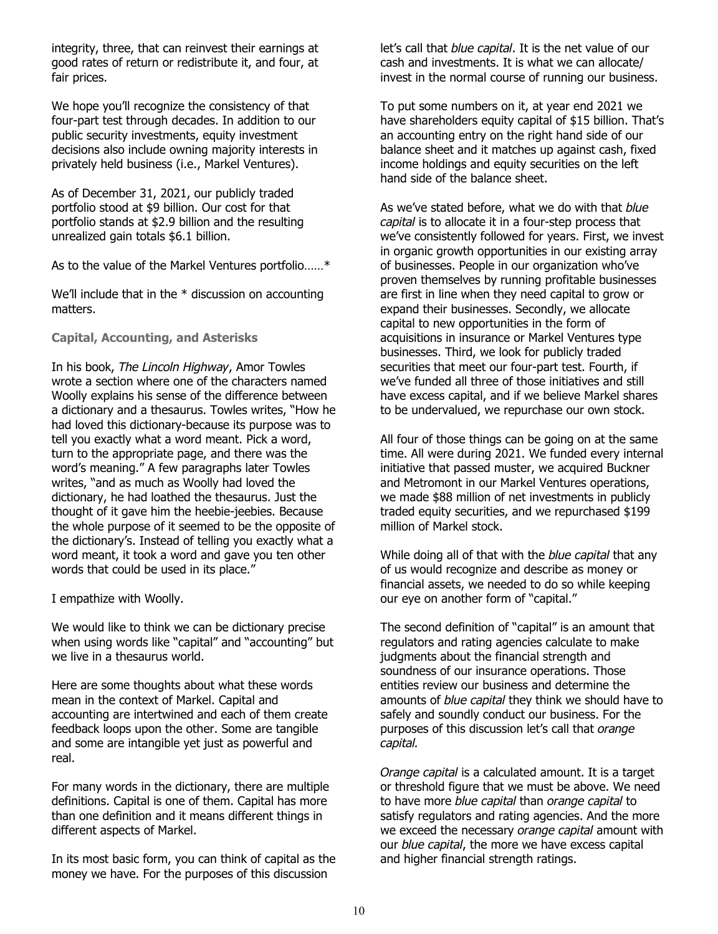integrity, three, that can reinvest their earnings at good rates of return or redistribute it, and four, at fair prices.

We hope you'll recognize the consistency of that four-part test through decades. In addition to our public security investments, equity investment decisions also include owning majority interests in privately held business (i.e., Markel Ventures).

As of December 31, 2021, our publicly traded portfolio stood at \$9 billion. Our cost for that portfolio stands at \$2.9 billion and the resulting unrealized gain totals \$6.1 billion.

As to the value of the Markel Ventures portfolio……\*

We'll include that in the \* discussion on accounting matters.

**Capital, Accounting, and Asterisks**

In his book, *The Lincoln Highway*, Amor Towles wrote a section where one of the characters named Woolly explains his sense of the difference between a dictionary and a thesaurus. Towles writes, "How he had loved this dictionary-because its purpose was to tell you exactly what a word meant. Pick a word, turn to the appropriate page, and there was the word's meaning." A few paragraphs later Towles writes, "and as much as Woolly had loved the dictionary, he had loathed the thesaurus. Just the thought of it gave him the heebie-jeebies. Because the whole purpose of it seemed to be the opposite of the dictionary's. Instead of telling you exactly what a word meant, it took a word and gave you ten other words that could be used in its place."

I empathize with Woolly.

We would like to think we can be dictionary precise when using words like "capital" and "accounting" but we live in a thesaurus world.

Here are some thoughts about what these words mean in the context of Markel. Capital and accounting are intertwined and each of them create feedback loops upon the other. Some are tangible and some are intangible yet just as powerful and real.

For many words in the dictionary, there are multiple definitions. Capital is one of them. Capital has more than one definition and it means different things in different aspects of Markel.

In its most basic form, you can think of capital as the money we have. For the purposes of this discussion

let's call that *blue capital*. It is the net value of our cash and investments. It is what we can allocate/ invest in the normal course of running our business.

To put some numbers on it, at year end 2021 we have shareholders equity capital of \$15 billion. That's an accounting entry on the right hand side of our balance sheet and it matches up against cash, fixed income holdings and equity securities on the left hand side of the balance sheet.

As we've stated before, what we do with that *blue capital* is to allocate it in a four-step process that we've consistently followed for years. First, we invest in organic growth opportunities in our existing array of businesses. People in our organization who've proven themselves by running profitable businesses are first in line when they need capital to grow or expand their businesses. Secondly, we allocate capital to new opportunities in the form of acquisitions in insurance or Markel Ventures type businesses. Third, we look for publicly traded securities that meet our four-part test. Fourth, if we've funded all three of those initiatives and still have excess capital, and if we believe Markel shares to be undervalued, we repurchase our own stock.

All four of those things can be going on at the same time. All were during 2021. We funded every internal initiative that passed muster, we acquired Buckner and Metromont in our Markel Ventures operations, we made \$88 million of net investments in publicly traded equity securities, and we repurchased \$199 million of Markel stock.

While doing all of that with the *blue capital* that any of us would recognize and describe as money or financial assets, we needed to do so while keeping our eye on another form of "capital."

The second definition of "capital" is an amount that regulators and rating agencies calculate to make judgments about the financial strength and soundness of our insurance operations. Those entities review our business and determine the amounts of *blue capital* they think we should have to safely and soundly conduct our business. For the purposes of this discussion let's call that *orange capital.*

*Orange capital* is a calculated amount. It is a target or threshold figure that we must be above. We need to have more *blue capital* than *orange capital* to satisfy regulators and rating agencies. And the more we exceed the necessary *orange capital* amount with our *blue capital*, the more we have excess capital and higher financial strength ratings.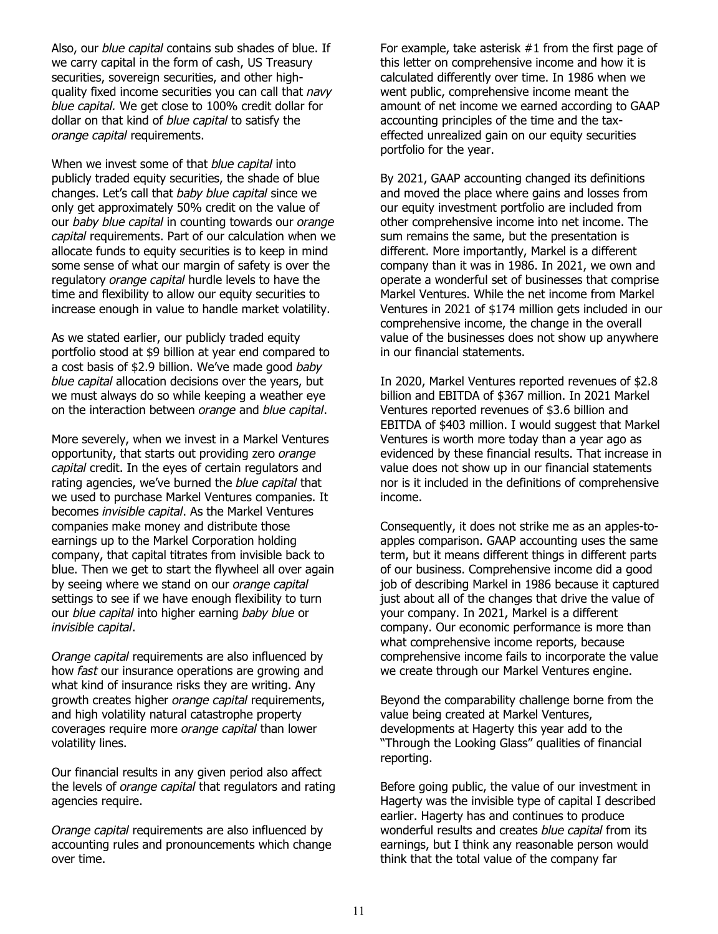Also, our *blue capital* contains sub shades of blue. If we carry capital in the form of cash, US Treasury securities, sovereign securities, and other highquality fixed income securities you can call that *navy blue capital.* We get close to 100% credit dollar for dollar on that kind of *blue capital* to satisfy the *orange capital* requirements.

When we invest some of that *blue capital* into publicly traded equity securities, the shade of blue changes. Let's call that *baby blue capital* since we only get approximately 50% credit on the value of our *baby blue capital* in counting towards our *orange capital* requirements. Part of our calculation when we allocate funds to equity securities is to keep in mind some sense of what our margin of safety is over the regulatory *orange capital* hurdle levels to have the time and flexibility to allow our equity securities to increase enough in value to handle market volatility.

As we stated earlier, our publicly traded equity portfolio stood at \$9 billion at year end compared to a cost basis of \$2.9 billion. We've made good *baby blue capital* allocation decisions over the years, but we must always do so while keeping a weather eye on the interaction between *orange* and *blue capital*.

More severely, when we invest in a Markel Ventures opportunity, that starts out providing zero *orange capital* credit. In the eyes of certain regulators and rating agencies, we've burned the *blue capital* that we used to purchase Markel Ventures companies. It becomes *invisible capital*. As the Markel Ventures companies make money and distribute those earnings up to the Markel Corporation holding company, that capital titrates from invisible back to blue. Then we get to start the flywheel all over again by seeing where we stand on our *orange capital* settings to see if we have enough flexibility to turn our *blue capital* into higher earning *baby blue* or *invisible capital*.

*Orange capital* requirements are also influenced by how *fast* our insurance operations are growing and what kind of insurance risks they are writing. Any growth creates higher *orange capital* requirements, and high volatility natural catastrophe property coverages require more *orange capital* than lower volatility lines.

Our financial results in any given period also affect the levels of *orange capital* that regulators and rating agencies require.

*Orange capital* requirements are also influenced by accounting rules and pronouncements which change over time.

For example, take asterisk #1 from the first page of this letter on comprehensive income and how it is calculated differently over time. In 1986 when we went public, comprehensive income meant the amount of net income we earned according to GAAP accounting principles of the time and the taxeffected unrealized gain on our equity securities portfolio for the year.

By 2021, GAAP accounting changed its definitions and moved the place where gains and losses from our equity investment portfolio are included from other comprehensive income into net income. The sum remains the same, but the presentation is different. More importantly, Markel is a different company than it was in 1986. In 2021, we own and operate a wonderful set of businesses that comprise Markel Ventures. While the net income from Markel Ventures in 2021 of \$174 million gets included in our comprehensive income, the change in the overall value of the businesses does not show up anywhere in our financial statements.

In 2020, Markel Ventures reported revenues of \$2.8 billion and EBITDA of \$367 million. In 2021 Markel Ventures reported revenues of \$3.6 billion and EBITDA of \$403 million. I would suggest that Markel Ventures is worth more today than a year ago as evidenced by these financial results. That increase in value does not show up in our financial statements nor is it included in the definitions of comprehensive income.

Consequently, it does not strike me as an apples-toapples comparison. GAAP accounting uses the same term, but it means different things in different parts of our business. Comprehensive income did a good job of describing Markel in 1986 because it captured just about all of the changes that drive the value of your company. In 2021, Markel is a different company. Our economic performance is more than what comprehensive income reports, because comprehensive income fails to incorporate the value we create through our Markel Ventures engine.

Beyond the comparability challenge borne from the value being created at Markel Ventures, developments at Hagerty this year add to the "Through the Looking Glass" qualities of financial reporting.

Before going public, the value of our investment in Hagerty was the invisible type of capital I described earlier. Hagerty has and continues to produce wonderful results and creates *blue capital* from its earnings, but I think any reasonable person would think that the total value of the company far